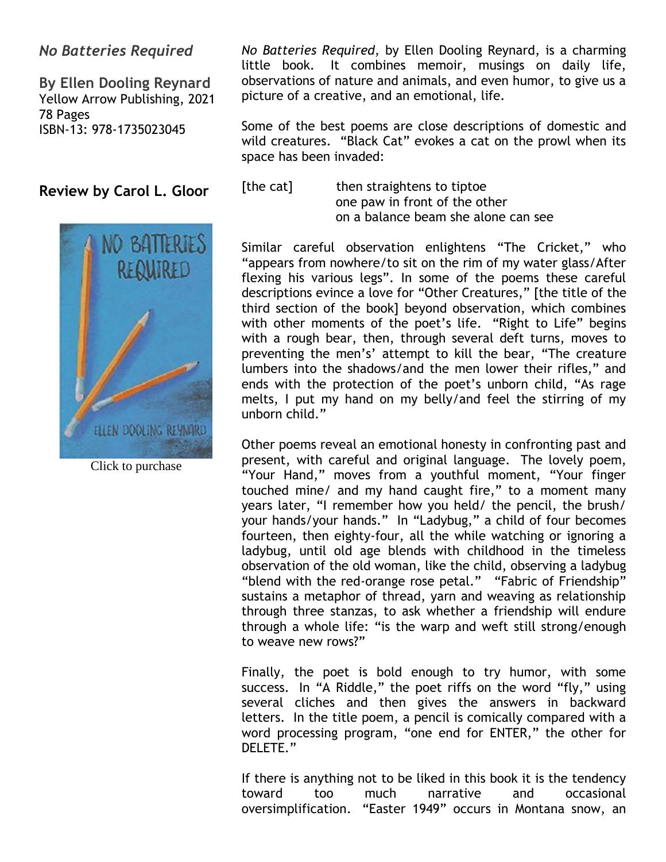# *No Batteries Required*

**By Ellen Dooling Reynard** Yellow Arrow Publishing, 2021 78 Pages ISBN-13: 978-1735023045

**Review by Carol L. Gloor**



Click to purchase

*No Batteries Required*, by Ellen Dooling Reynard, is a charming little book. It combines memoir, musings on daily life, observations of nature and animals, and even humor, to give us a picture of a creative, and an emotional, life.

Some of the best poems are close descriptions of domestic and wild creatures. "Black Cat" evokes a cat on the prowl when its space has been invaded:

[the cat] then straightens to tiptoe one paw in front of the other on a balance beam she alone can see

Similar careful observation enlightens "The Cricket," who "appears from nowhere/to sit on the rim of my water glass/After flexing his various legs". In some of the poems these careful descriptions evince a love for "Other Creatures," [the title of the third section of the book] beyond observation, which combines with other moments of the poet's life. "Right to Life" begins with a rough bear, then, through several deft turns, moves to preventing the men's' attempt to kill the bear, "The creature lumbers into the shadows/and the men lower their rifles," and ends with the protection of the poet's unborn child, "As rage melts, I put my hand on my belly/and feel the stirring of my unborn child."

Other poems reveal an emotional honesty in confronting past and present, with careful and original language. The lovely poem, "Your Hand," moves from a youthful moment, "Your finger touched mine/ and my hand caught fire," to a moment many years later, "I remember how you held/ the pencil, the brush/ your hands/your hands." In "Ladybug," a child of four becomes fourteen, then eighty-four, all the while watching or ignoring a ladybug, until old age blends with childhood in the timeless observation of the old woman, like the child, observing a ladybug "blend with the red-orange rose petal." "Fabric of Friendship" sustains a metaphor of thread, yarn and weaving as relationship through three stanzas, to ask whether a friendship will endure through a whole life: "is the warp and weft still strong/enough to weave new rows?"

Finally, the poet is bold enough to try humor, with some success. In "A Riddle," the poet riffs on the word "fly," using several cliches and then gives the answers in backward letters. In the title poem, a pencil is comically compared with a word processing program, "one end for ENTER," the other for DELETE."

If there is anything not to be liked in this book it is the tendency toward too much narrative and occasional oversimplification. "Easter 1949" occurs in Montana snow, an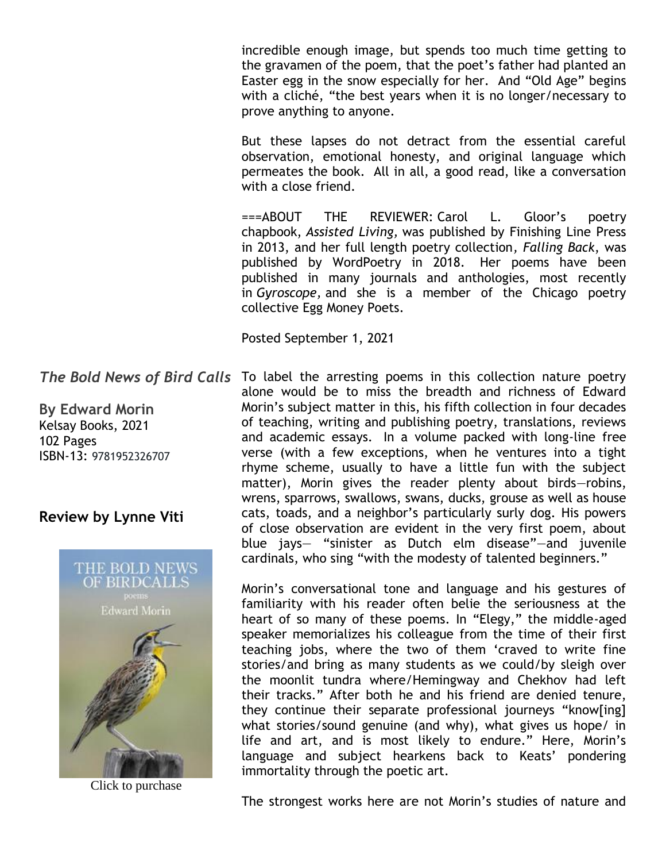incredible enough image, but spends too much time getting to the gravamen of the poem, that the poet's father had planted an Easter egg in the snow especially for her. And "Old Age" begins with a cliché, "the best years when it is no longer/necessary to prove anything to anyone.

But these lapses do not detract from the essential careful observation, emotional honesty, and original language which permeates the book. All in all, a good read, like a conversation with a close friend.

===ABOUT THE REVIEWER: Carol L. Gloor's poetry chapbook, *Assisted Living,* was published by Finishing Line Press in 2013, and her full length poetry collection*, Falling Back*, was published by WordPoetry in 2018. Her poems have been published in many journals and anthologies, most recently in *Gyroscope,* and she is a member of the Chicago poetry collective Egg Money Poets.

Posted September 1, 2021

The Bold News of Bird Calls To label the arresting poems in this collection nature poetry alone would be to miss the breadth and richness of Edward Morin's subject matter in this, his fifth collection in four decades of teaching, writing and publishing poetry, translations, reviews and academic essays. In a volume packed with long-line free verse (with a few exceptions, when he ventures into a tight rhyme scheme, usually to have a little fun with the subject matter), Morin gives the reader plenty about birds—robins, wrens, sparrows, swallows, swans, ducks, grouse as well as house cats, toads, and a neighbor's particularly surly dog. His powers of close observation are evident in the very first poem, about blue jays— "sinister as Dutch elm disease"—and juvenile cardinals, who sing "with the modesty of talented beginners."

> Morin's conversational tone and language and his gestures of familiarity with his reader often belie the seriousness at the heart of so many of these poems. In "Elegy," the middle-aged speaker memorializes his colleague from the time of their first teaching jobs, where the two of them 'craved to write fine stories/and bring as many students as we could/by sleigh over the moonlit tundra where/Hemingway and Chekhov had left their tracks." After both he and his friend are denied tenure, they continue their separate professional journeys "know[ing] what stories/sound genuine (and why), what gives us hope/ in life and art, and is most likely to endure." Here, Morin's language and subject hearkens back to Keats' pondering immortality through the poetic art.

> The strongest works here are not Morin's studies of nature and

**By Edward Morin** Kelsay Books, 2021 102 Pages ISBN-13: 9781952326707

## **Review by Lynne Viti**



Click to purchase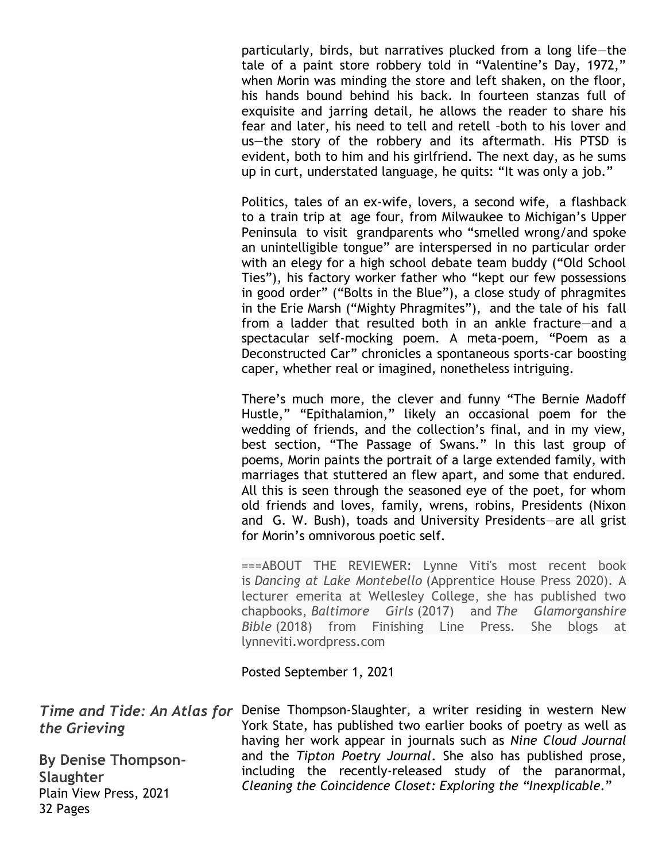particularly, birds, but narratives plucked from a long life—the tale of a paint store robbery told in "Valentine's Day, 1972," when Morin was minding the store and left shaken, on the floor, his hands bound behind his back. In fourteen stanzas full of exquisite and jarring detail, he allows the reader to share his fear and later, his need to tell and retell –both to his lover and us—the story of the robbery and its aftermath. His PTSD is evident, both to him and his girlfriend. The next day, as he sums up in curt, understated language, he quits: "It was only a job."

Politics, tales of an ex-wife, lovers, a second wife, a flashback to a train trip at age four, from Milwaukee to Michigan's Upper Peninsula to visit grandparents who "smelled wrong/and spoke an unintelligible tongue" are interspersed in no particular order with an elegy for a high school debate team buddy ("Old School Ties"), his factory worker father who "kept our few possessions in good order" ("Bolts in the Blue"), a close study of phragmites in the Erie Marsh ("Mighty Phragmites"), and the tale of his fall from a ladder that resulted both in an ankle fracture—and a spectacular self-mocking poem. A meta-poem, "Poem as a Deconstructed Car" chronicles a spontaneous sports-car boosting caper, whether real or imagined, nonetheless intriguing.

There's much more, the clever and funny "The Bernie Madoff Hustle," "Epithalamion," likely an occasional poem for the wedding of friends, and the collection's final, and in my view, best section, "The Passage of Swans." In this last group of poems, Morin paints the portrait of a large extended family, with marriages that stuttered an flew apart, and some that endured. All this is seen through the seasoned eye of the poet, for whom old friends and loves, family, wrens, robins, Presidents (Nixon and G. W. Bush), toads and University Presidents—are all grist for Morin's omnivorous poetic self.

===ABOUT THE REVIEWER: Lynne Viti's most recent book is *Dancing at Lake Montebello* (Apprentice House Press 2020). A lecturer emerita at Wellesley College, she has published two chapbooks, *Baltimore Girls* (2017) and *The Glamorganshire Bible* (2018) from Finishing Line Press. She blogs at lynneviti.wordpress.com

Posted September 1, 2021

32 Pages

Time and Tide: An Atlas for Denise Thompson-Slaughter, a writer residing in western New *the Grieving* **By Denise Thompson-Slaughter** Plain View Press, 2021 York State, has published two earlier books of poetry as well as having her work appear in journals such as *Nine Cloud Journal* and the *Tipton Poetry Journal*. She also has published prose, including the recently-released study of the paranormal, *Cleaning the Coincidence Closet: Exploring the "Inexplicable*."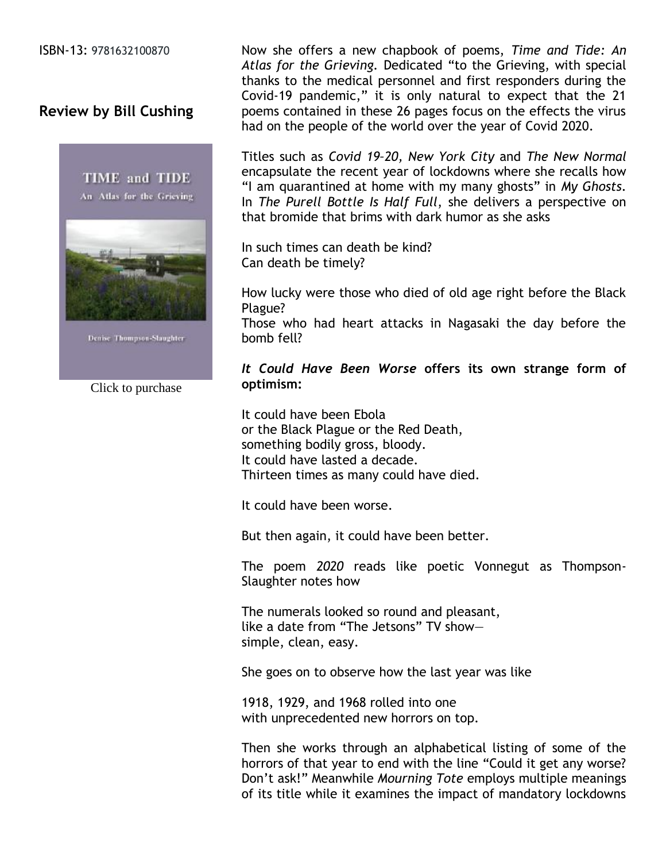ISBN-13: 9781632100870

# **Review by Bill Cushing**



Denise Thompson-Slaughter

Click to purchase

Now she offers a new chapbook of poems, *Time and Tide: An Atlas for the Grieving.* Dedicated "to the Grieving, with special thanks to the medical personnel and first responders during the Covid-19 pandemic," it is only natural to expect that the 21 poems contained in these 26 pages focus on the effects the virus had on the people of the world over the year of Covid 2020.

Titles such as *Covid 19–20, New York City* and *The New Normal* encapsulate the recent year of lockdowns where she recalls how "I am quarantined at home with my many ghosts" in *My Ghosts*. In *The Purell Bottle Is Half Full*, she delivers a perspective on that bromide that brims with dark humor as she asks

In such times can death be kind? Can death be timely?

How lucky were those who died of old age right before the Black Plague?

Those who had heart attacks in Nagasaki the day before the bomb fell?

#### *It Could Have Been Worse* **offers its own strange form of optimism:**

It could have been Ebola or the Black Plague or the Red Death, something bodily gross, bloody. It could have lasted a decade. Thirteen times as many could have died.

It could have been worse.

But then again, it could have been better.

The poem *2020* reads like poetic Vonnegut as Thompson-Slaughter notes how

The numerals looked so round and pleasant, like a date from "The Jetsons" TV show simple, clean, easy.

She goes on to observe how the last year was like

1918, 1929, and 1968 rolled into one with unprecedented new horrors on top.

Then she works through an alphabetical listing of some of the horrors of that year to end with the line "Could it get any worse? Don't ask!" Meanwhile *Mourning Tote* employs multiple meanings of its title while it examines the impact of mandatory lockdowns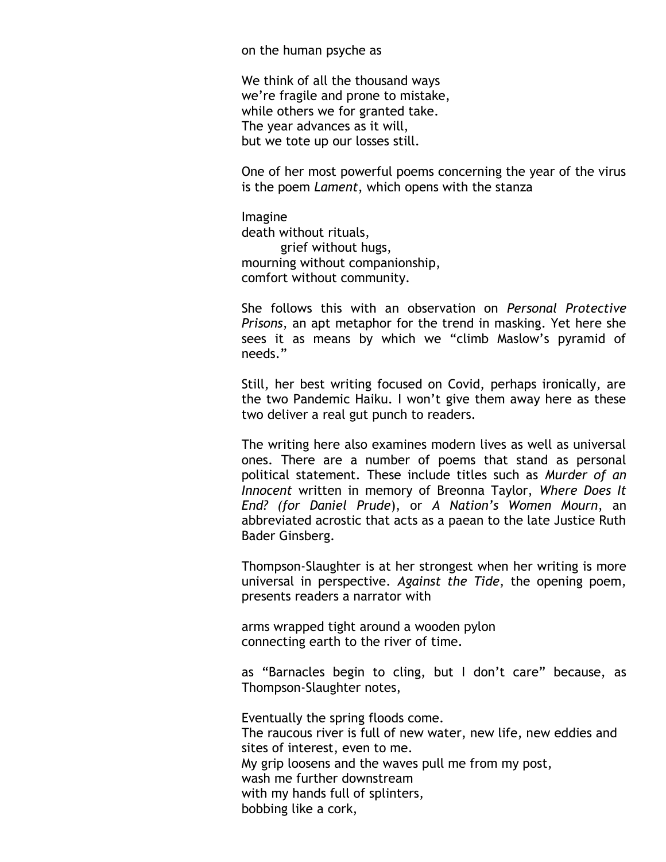on the human psyche as

We think of all the thousand ways we're fragile and prone to mistake, while others we for granted take. The year advances as it will, but we tote up our losses still.

One of her most powerful poems concerning the year of the virus is the poem *Lament*, which opens with the stanza

Imagine death without rituals, grief without hugs, mourning without companionship, comfort without community.

She follows this with an observation on *Personal Protective Prisons*, an apt metaphor for the trend in masking. Yet here she sees it as means by which we "climb Maslow's pyramid of needs."

Still, her best writing focused on Covid, perhaps ironically, are the two Pandemic Haiku. I won't give them away here as these two deliver a real gut punch to readers.

The writing here also examines modern lives as well as universal ones. There are a number of poems that stand as personal political statement. These include titles such as *Murder of an Innocent* written in memory of Breonna Taylor, *Where Does It End? (for Daniel Prude*), or *A Nation's Women Mourn*, an abbreviated acrostic that acts as a paean to the late Justice Ruth Bader Ginsberg.

Thompson-Slaughter is at her strongest when her writing is more universal in perspective. *Against the Tide*, the opening poem, presents readers a narrator with

arms wrapped tight around a wooden pylon connecting earth to the river of time.

as "Barnacles begin to cling, but I don't care" because, as Thompson-Slaughter notes,

Eventually the spring floods come. The raucous river is full of new water, new life, new eddies and sites of interest, even to me. My grip loosens and the waves pull me from my post, wash me further downstream with my hands full of splinters, bobbing like a cork,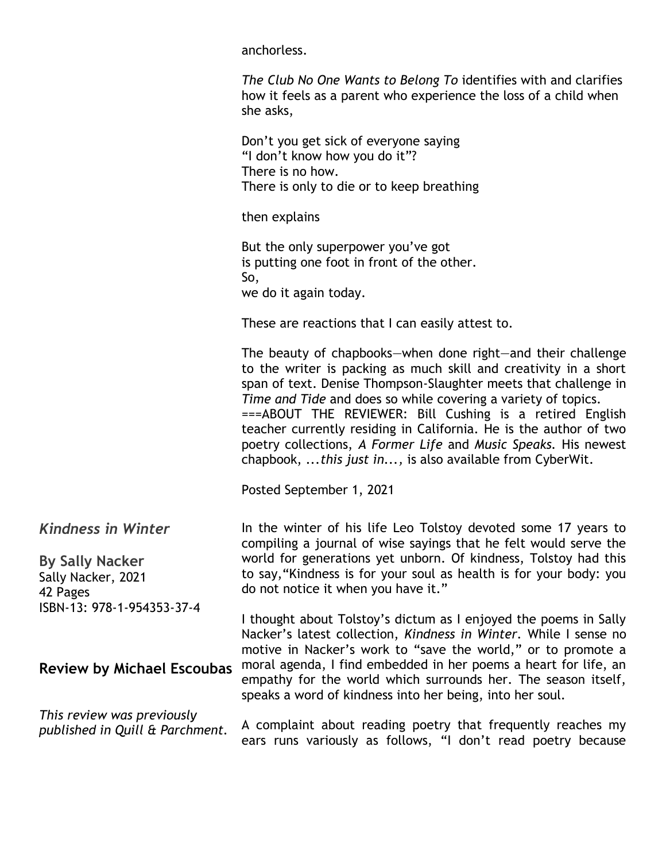anchorless.

*The Club No One Wants to Belong To* identifies with and clarifies how it feels as a parent who experience the loss of a child when she asks,

Don't you get sick of everyone saying "I don't know how you do it"? There is no how. There is only to die or to keep breathing

then explains

But the only superpower you've got is putting one foot in front of the other. So, we do it again today.

These are reactions that I can easily attest to.

The beauty of chapbooks—when done right—and their challenge to the writer is packing as much skill and creativity in a short span of text. Denise Thompson-Slaughter meets that challenge in *Time and Tide* and does so while covering a variety of topics. ===ABOUT THE REVIEWER: Bill Cushing is a retired English teacher currently residing in California. He is the author of two poetry collections, *A Former Life* and *Music Speaks.* His newest chapbook, .*..this just in...,* is also available from CyberWit.

Posted September 1, 2021

*Kindness in Winter*

**By Sally Nacker** Sally Nacker, 2021 42 Pages ISBN-13: 978-1-954353-37-4

**Review by Michael Escoubas**

*This review was previously published in Quill & Parchment.*

In the winter of his life Leo Tolstoy devoted some 17 years to compiling a journal of wise sayings that he felt would serve the world for generations yet unborn. Of kindness, Tolstoy had this to say,"Kindness is for your soul as health is for your body: you do not notice it when you have it."

I thought about Tolstoy's dictum as I enjoyed the poems in Sally Nacker's latest collection, *Kindness in Winter.* While I sense no motive in Nacker's work to "save the world," or to promote a moral agenda, I find embedded in her poems a heart for life, an empathy for the world which surrounds her. The season itself, speaks a word of kindness into her being, into her soul.

A complaint about reading poetry that frequently reaches my ears runs variously as follows, "I don't read poetry because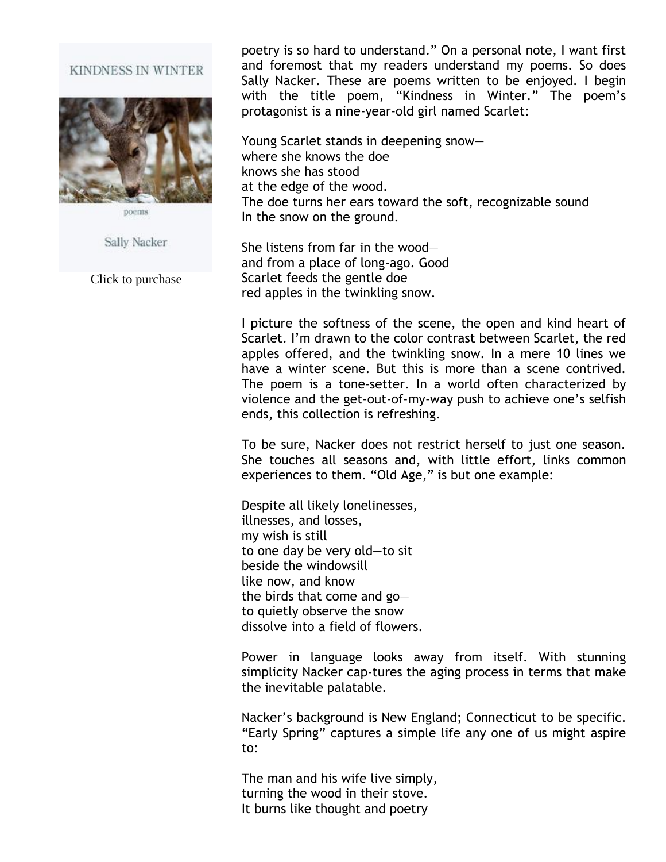#### KINDNESS IN WINTER



poems

Sally Nacker

Click to purchase

poetry is so hard to understand." On a personal note, I want first and foremost that my readers understand my poems. So does Sally Nacker. These are poems written to be enjoyed. I begin with the title poem, "Kindness in Winter." The poem's protagonist is a nine-year-old girl named Scarlet:

Young Scarlet stands in deepening snow where she knows the doe knows she has stood at the edge of the wood. The doe turns her ears toward the soft, recognizable sound In the snow on the ground.

She listens from far in the wood and from a place of long-ago. Good Scarlet feeds the gentle doe red apples in the twinkling snow.

I picture the softness of the scene, the open and kind heart of Scarlet. I'm drawn to the color contrast between Scarlet, the red apples offered, and the twinkling snow. In a mere 10 lines we have a winter scene. But this is more than a scene contrived. The poem is a tone-setter. In a world often characterized by violence and the get-out-of-my-way push to achieve one's selfish ends, this collection is refreshing.

To be sure, Nacker does not restrict herself to just one season. She touches all seasons and, with little effort, links common experiences to them. "Old Age," is but one example:

Despite all likely lonelinesses, illnesses, and losses, my wish is still to one day be very old—to sit beside the windowsill like now, and know the birds that come and go to quietly observe the snow dissolve into a field of flowers.

Power in language looks away from itself. With stunning simplicity Nacker cap-tures the aging process in terms that make the inevitable palatable.

Nacker's background is New England; Connecticut to be specific. "Early Spring" captures a simple life any one of us might aspire to:

The man and his wife live simply, turning the wood in their stove. It burns like thought and poetry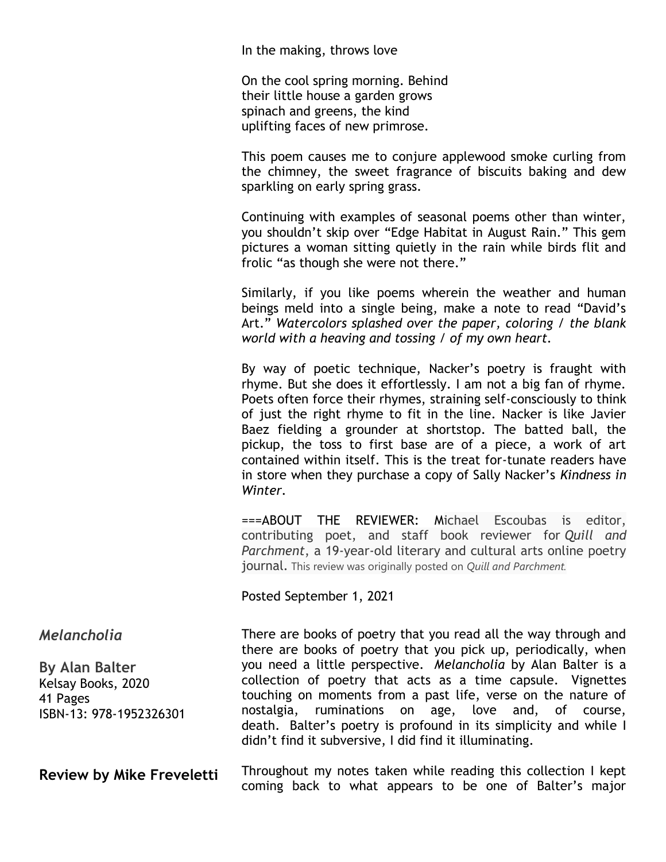In the making, throws love

On the cool spring morning. Behind their little house a garden grows spinach and greens, the kind uplifting faces of new primrose.

This poem causes me to conjure applewood smoke curling from the chimney, the sweet fragrance of biscuits baking and dew sparkling on early spring grass.

Continuing with examples of seasonal poems other than winter, you shouldn't skip over "Edge Habitat in August Rain." This gem pictures a woman sitting quietly in the rain while birds flit and frolic "as though she were not there."

Similarly, if you like poems wherein the weather and human beings meld into a single being, make a note to read "David's Art." *Watercolors splashed over the paper, coloring / the blank world with a heaving and tossing / of my own heart.*

By way of poetic technique, Nacker's poetry is fraught with rhyme. But she does it effortlessly. I am not a big fan of rhyme. Poets often force their rhymes, straining self-consciously to think of just the right rhyme to fit in the line. Nacker is like Javier Baez fielding a grounder at shortstop. The batted ball, the pickup, the toss to first base are of a piece, a work of art contained within itself. This is the treat for-tunate readers have in store when they purchase a copy of Sally Nacker's *Kindness in Winter.*

===ABOUT THE REVIEWER: Michael Escoubas is editor, contributing poet, and staff book reviewer for *Quill and Parchment*, a 19-year-old literary and cultural arts online poetry journal. This review was originally posted on *Quill and Parchment.*

Posted September 1, 2021

### *Melancholia*

**By Alan Balter** Kelsay Books, 2020 41 Pages ISBN-13: 978-1952326301

**Review by Mike Freveletti**

There are books of poetry that you read all the way through and there are books of poetry that you pick up, periodically, when you need a little perspective. *Melancholia* by Alan Balter is a collection of poetry that acts as a time capsule. Vignettes touching on moments from a past life, verse on the nature of nostalgia, ruminations on age, love and, of course, death. Balter's poetry is profound in its simplicity and while I didn't find it subversive, I did find it illuminating.

Throughout my notes taken while reading this collection I kept coming back to what appears to be one of Balter's major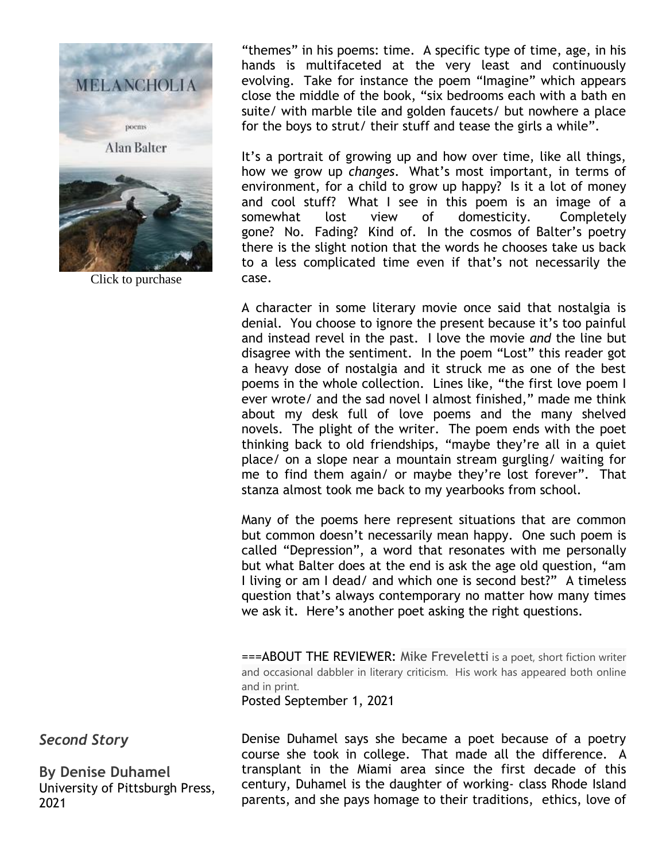

Click to purchase

"themes" in his poems: time. A specific type of time, age, in his hands is multifaceted at the very least and continuously evolving. Take for instance the poem "Imagine" which appears close the middle of the book, "six bedrooms each with a bath en suite/ with marble tile and golden faucets/ but nowhere a place for the boys to strut/ their stuff and tease the girls a while".

It's a portrait of growing up and how over time, like all things, how we grow up *changes*. What's most important, in terms of environment, for a child to grow up happy? Is it a lot of money and cool stuff? What I see in this poem is an image of a somewhat lost view of domesticity. Completely gone? No. Fading? Kind of. In the cosmos of Balter's poetry there is the slight notion that the words he chooses take us back to a less complicated time even if that's not necessarily the case.

A character in some literary movie once said that nostalgia is denial. You choose to ignore the present because it's too painful and instead revel in the past. I love the movie *and* the line but disagree with the sentiment. In the poem "Lost" this reader got a heavy dose of nostalgia and it struck me as one of the best poems in the whole collection. Lines like, "the first love poem I ever wrote/ and the sad novel I almost finished," made me think about my desk full of love poems and the many shelved novels. The plight of the writer. The poem ends with the poet thinking back to old friendships, "maybe they're all in a quiet place/ on a slope near a mountain stream gurgling/ waiting for me to find them again/ or maybe they're lost forever". That stanza almost took me back to my yearbooks from school.

Many of the poems here represent situations that are common but common doesn't necessarily mean happy. One such poem is called "Depression", a word that resonates with me personally but what Balter does at the end is ask the age old question, "am I living or am I dead/ and which one is second best?" A timeless question that's always contemporary no matter how many times we ask it. Here's another poet asking the right questions.

===ABOUT THE REVIEWER: Mike Freveletti is a poet, short fiction writer and occasional dabbler in literary criticism. His work has appeared both online and in print.

Posted September 1, 2021

*Second Story*

**By Denise Duhamel** University of Pittsburgh Press, 2021

Denise Duhamel says she became a poet because of a poetry course she took in college. That made all the difference. A transplant in the Miami area since the first decade of this century, Duhamel is the daughter of working- class Rhode Island parents, and she pays homage to their traditions, ethics, love of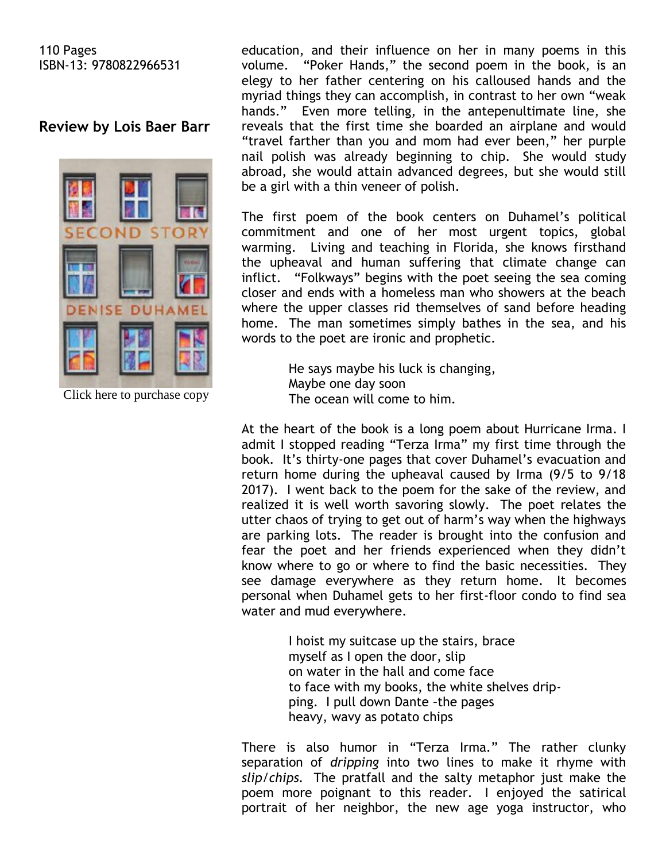#### 110 Pages ISBN-13: 9780822966531

# **Review by Lois Baer Barr**



Click here to purchase copy

education, and their influence on her in many poems in this volume. "Poker Hands," the second poem in the book, is an elegy to her father centering on his calloused hands and the myriad things they can accomplish, in contrast to her own "weak hands." Even more telling, in the antepenultimate line, she reveals that the first time she boarded an airplane and would "travel farther than you and mom had ever been," her purple nail polish was already beginning to chip. She would study abroad, she would attain advanced degrees, but she would still be a girl with a thin veneer of polish.

The first poem of the book centers on Duhamel's political commitment and one of her most urgent topics, global warming. Living and teaching in Florida, she knows firsthand the upheaval and human suffering that climate change can inflict. "Folkways" begins with the poet seeing the sea coming closer and ends with a homeless man who showers at the beach where the upper classes rid themselves of sand before heading home. The man sometimes simply bathes in the sea, and his words to the poet are ironic and prophetic.

> He says maybe his luck is changing, Maybe one day soon The ocean will come to him.

At the heart of the book is a long poem about Hurricane Irma. I admit I stopped reading "Terza Irma" my first time through the book. It's thirty-one pages that cover Duhamel's evacuation and return home during the upheaval caused by Irma (9/5 to 9/18 2017). I went back to the poem for the sake of the review, and realized it is well worth savoring slowly. The poet relates the utter chaos of trying to get out of harm's way when the highways are parking lots. The reader is brought into the confusion and fear the poet and her friends experienced when they didn't know where to go or where to find the basic necessities. They see damage everywhere as they return home. It becomes personal when Duhamel gets to her first-floor condo to find sea water and mud everywhere.

> I hoist my suitcase up the stairs, brace myself as I open the door, slip on water in the hall and come face to face with my books, the white shelves drip ping. I pull down Dante –the pages heavy, wavy as potato chips

There is also humor in "Terza Irma." The rather clunky separation of *dripping* into two lines to make it rhyme with *slip*/*chips.* The pratfall and the salty metaphor just make the poem more poignant to this reader. I enjoyed the satirical portrait of her neighbor, the new age yoga instructor, who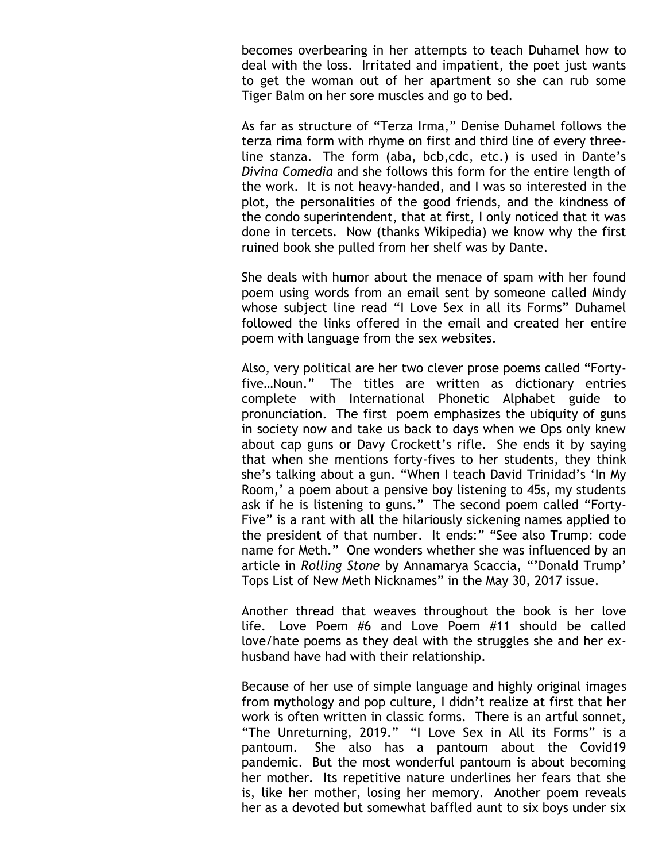becomes overbearing in her attempts to teach Duhamel how to deal with the loss. Irritated and impatient, the poet just wants to get the woman out of her apartment so she can rub some Tiger Balm on her sore muscles and go to bed.

As far as structure of "Terza Irma," Denise Duhamel follows the terza rima form with rhyme on first and third line of every threeline stanza. The form (aba, bcb,cdc, etc.) is used in Dante's *Divina Comedia* and she follows this form for the entire length of the work. It is not heavy-handed, and I was so interested in the plot, the personalities of the good friends, and the kindness of the condo superintendent, that at first, I only noticed that it was done in tercets. Now (thanks Wikipedia) we know why the first ruined book she pulled from her shelf was by Dante.

She deals with humor about the menace of spam with her found poem using words from an email sent by someone called Mindy whose subject line read "I Love Sex in all its Forms" Duhamel followed the links offered in the email and created her entire poem with language from the sex websites.

Also, very political are her two clever prose poems called "Fortyfive…Noun." The titles are written as dictionary entries complete with International Phonetic Alphabet guide to pronunciation. The first poem emphasizes the ubiquity of guns in society now and take us back to days when we Ops only knew about cap guns or Davy Crockett's rifle. She ends it by saying that when she mentions forty-fives to her students, they think she's talking about a gun. "When I teach David Trinidad's 'In My Room,' a poem about a pensive boy listening to 45s, my students ask if he is listening to guns." The second poem called "Forty-Five" is a rant with all the hilariously sickening names applied to the president of that number. It ends:" "See also Trump: code name for Meth." One wonders whether she was influenced by an article in *Rolling Stone* by Annamarya Scaccia, "'Donald Trump' Tops List of New Meth Nicknames" in the May 30, 2017 issue.

Another thread that weaves throughout the book is her love life. Love Poem #6 and Love Poem #11 should be called love/hate poems as they deal with the struggles she and her exhusband have had with their relationship.

Because of her use of simple language and highly original images from mythology and pop culture, I didn't realize at first that her work is often written in classic forms. There is an artful sonnet, "The Unreturning, 2019." "I Love Sex in All its Forms" is a pantoum. She also has a pantoum about the Covid19 pandemic. But the most wonderful pantoum is about becoming her mother. Its repetitive nature underlines her fears that she is, like her mother, losing her memory. Another poem reveals her as a devoted but somewhat baffled aunt to six boys under six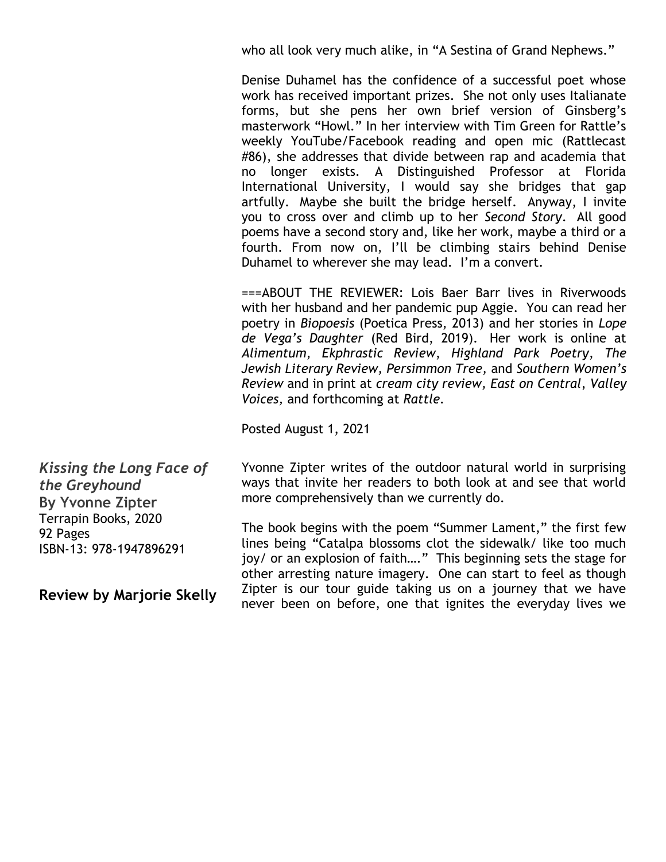who all look very much alike, in "A Sestina of Grand Nephews."

Denise Duhamel has the confidence of a successful poet whose work has received important prizes. She not only uses Italianate forms, but she pens her own brief version of Ginsberg's masterwork "Howl." In her interview with Tim Green for Rattle's weekly YouTube/Facebook reading and open mic (Rattlecast #86), she addresses that divide between rap and academia that no longer exists. A Distinguished Professor at Florida International University, I would say she bridges that gap artfully. Maybe she built the bridge herself. Anyway, I invite you to cross over and climb up to her *Second Story*. All good poems have a second story and, like her work, maybe a third or a fourth. From now on, I'll be climbing stairs behind Denise Duhamel to wherever she may lead. I'm a convert.

===ABOUT THE REVIEWER: Lois Baer Barr lives in Riverwoods with her husband and her pandemic pup Aggie. You can read her poetry in *Biopoesis* (Poetica Press, 2013) and her stories in *Lope de Vega's Daughter* (Red Bird, 2019). Her work is online at *Alimentum*, *Ekphrastic Review*, *Highland Park Poetry*, *The Jewish Literary Review, Persimmon Tree,* and *Southern Women's Review* and in print at *cream city review, East on Central*, *Valley Voices,* and forthcoming at *Rattle.*

Posted August 1, 2021

*Kissing the Long Face of the Greyhound* **By Yvonne Zipter** Terrapin Books, 2020 92 Pages ISBN-13: 978-1947896291

**Review by Marjorie Skelly**

Yvonne Zipter writes of the outdoor natural world in surprising ways that invite her readers to both look at and see that world more comprehensively than we currently do.

The book begins with the poem "Summer Lament," the first few lines being "Catalpa blossoms clot the sidewalk/ like too much joy/ or an explosion of faith…." This beginning sets the stage for other arresting nature imagery. One can start to feel as though Zipter is our tour guide taking us on a journey that we have never been on before, one that ignites the everyday lives we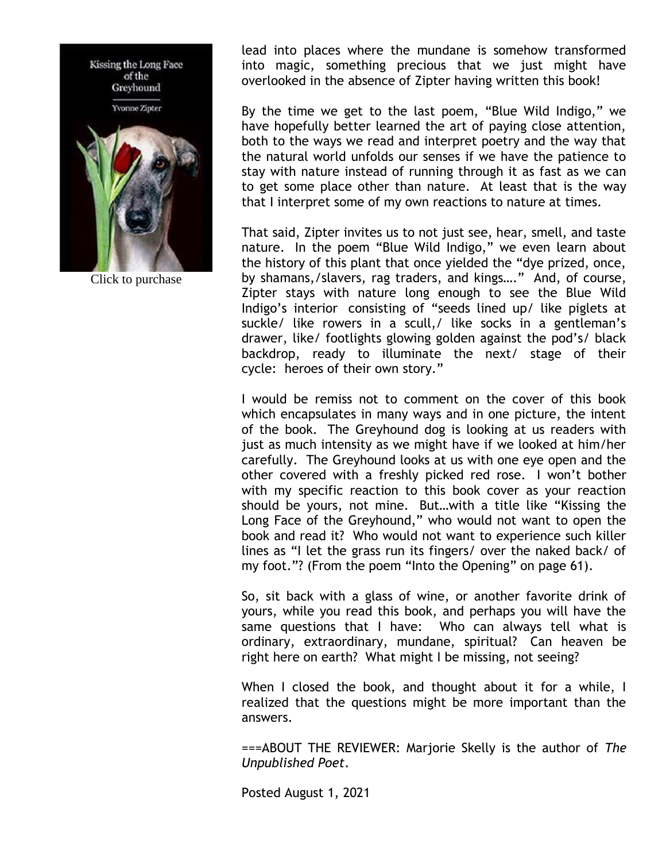

Click to purchase

lead into places where the mundane is somehow transformed into magic, something precious that we just might have overlooked in the absence of Zipter having written this book!

By the time we get to the last poem, "Blue Wild Indigo," we have hopefully better learned the art of paying close attention, both to the ways we read and interpret poetry and the way that the natural world unfolds our senses if we have the patience to stay with nature instead of running through it as fast as we can to get some place other than nature. At least that is the way that I interpret some of my own reactions to nature at times.

That said, Zipter invites us to not just see, hear, smell, and taste nature. In the poem "Blue Wild Indigo," we even learn about the history of this plant that once yielded the "dye prized, once, by shamans,/slavers, rag traders, and kings…." And, of course, Zipter stays with nature long enough to see the Blue Wild Indigo's interior consisting of "seeds lined up/ like piglets at suckle/ like rowers in a scull,/ like socks in a gentleman's drawer, like/ footlights glowing golden against the pod's/ black backdrop, ready to illuminate the next/ stage of their cycle: heroes of their own story."

I would be remiss not to comment on the cover of this book which encapsulates in many ways and in one picture, the intent of the book. The Greyhound dog is looking at us readers with just as much intensity as we might have if we looked at him/her carefully. The Greyhound looks at us with one eye open and the other covered with a freshly picked red rose. I won't bother with my specific reaction to this book cover as your reaction should be yours, not mine. But…with a title like "Kissing the Long Face of the Greyhound," who would not want to open the book and read it? Who would not want to experience such killer lines as "I let the grass run its fingers/ over the naked back/ of my foot."? (From the poem "Into the Opening" on page 61).

So, sit back with a glass of wine, or another favorite drink of yours, while you read this book, and perhaps you will have the same questions that I have: Who can always tell what is ordinary, extraordinary, mundane, spiritual? Can heaven be right here on earth? What might I be missing, not seeing?

When I closed the book, and thought about it for a while, I realized that the questions might be more important than the answers.

===ABOUT THE REVIEWER: Marjorie Skelly is the author of *The Unpublished Poet*.

Posted August 1, 2021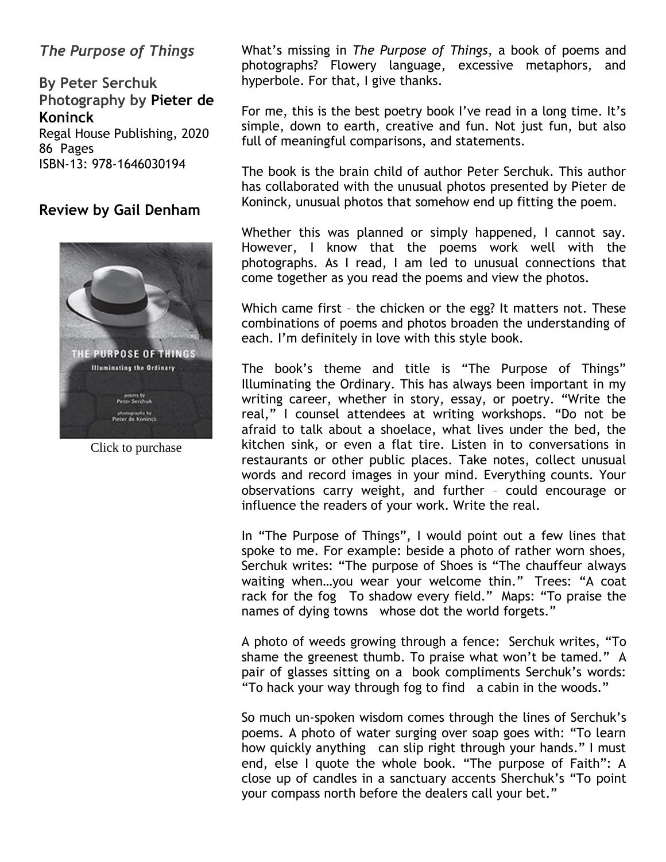# *The Purpose of Things*

**By Peter Serchuk Photography by Pieter de Koninck** Regal House Publishing, 2020 86 Pages ISBN-13: 978-1646030194

### **Review by Gail Denham**



Click to purchase

What's missing in *The Purpose of Things*, a book of poems and photographs? Flowery language, excessive metaphors, and hyperbole. For that, I give thanks.

For me, this is the best poetry book I've read in a long time. It's simple, down to earth, creative and fun. Not just fun, but also full of meaningful comparisons, and statements.

The book is the brain child of author Peter Serchuk. This author has collaborated with the unusual photos presented by Pieter de Koninck, unusual photos that somehow end up fitting the poem.

Whether this was planned or simply happened, I cannot say. However, I know that the poems work well with the photographs. As I read, I am led to unusual connections that come together as you read the poems and view the photos.

Which came first – the chicken or the egg? It matters not. These combinations of poems and photos broaden the understanding of each. I'm definitely in love with this style book.

The book's theme and title is "The Purpose of Things" Illuminating the Ordinary. This has always been important in my writing career, whether in story, essay, or poetry. "Write the real," I counsel attendees at writing workshops. "Do not be afraid to talk about a shoelace, what lives under the bed, the kitchen sink, or even a flat tire. Listen in to conversations in restaurants or other public places. Take notes, collect unusual words and record images in your mind. Everything counts. Your observations carry weight, and further – could encourage or influence the readers of your work. Write the real.

In "The Purpose of Things", I would point out a few lines that spoke to me. For example: beside a photo of rather worn shoes, Serchuk writes: "The purpose of Shoes is "The chauffeur always waiting when…you wear your welcome thin." Trees: "A coat rack for the fog To shadow every field." Maps: "To praise the names of dying towns whose dot the world forgets."

A photo of weeds growing through a fence: Serchuk writes, "To shame the greenest thumb. To praise what won't be tamed." A pair of glasses sitting on a book compliments Serchuk's words: "To hack your way through fog to find a cabin in the woods."

So much un-spoken wisdom comes through the lines of Serchuk's poems. A photo of water surging over soap goes with: "To learn how quickly anything can slip right through your hands." I must end, else I quote the whole book. "The purpose of Faith": A close up of candles in a sanctuary accents Sherchuk's "To point your compass north before the dealers call your bet."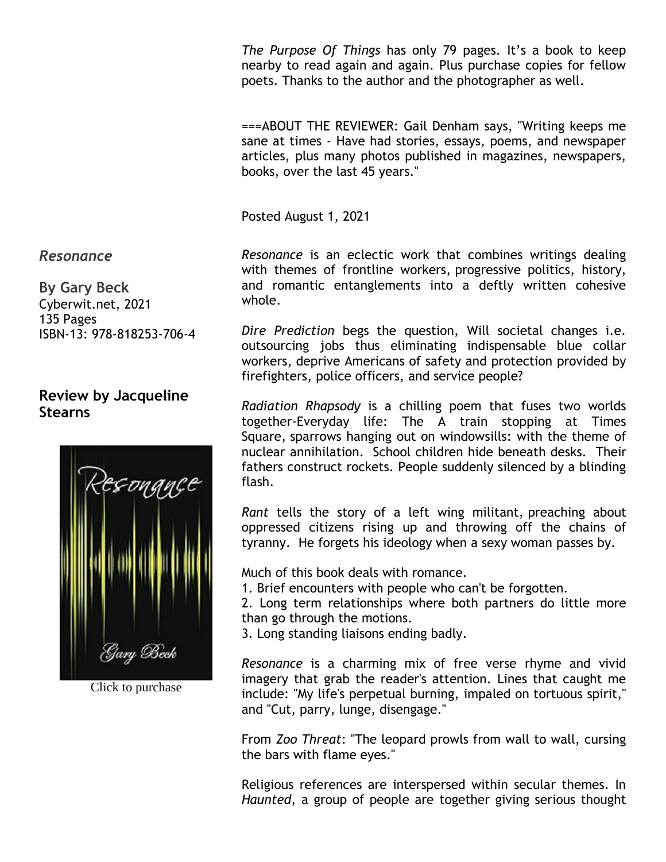*The Purpose Of Things* has only 79 pages. It's a book to keep nearby to read again and again. Plus purchase copies for fellow poets. Thanks to the author and the photographer as well.

===ABOUT THE REVIEWER: Gail Denham says, "Writing keeps me sane at times - Have had stories, essays, poems, and newspaper articles, plus many photos published in magazines, newspapers, books, over the last 45 years."

Posted August 1, 2021

*Resonance* is an eclectic work that combines writings dealing with themes of frontline workers, progressive politics, history, and romantic entanglements into a deftly written cohesive whole.

*Dire Prediction* begs the question, Will societal changes i.e. outsourcing jobs thus eliminating indispensable blue collar workers, deprive Americans of safety and protection provided by firefighters, police officers, and service people?

*Radiation Rhapsody* is a chilling poem that fuses two worlds together-Everyday life: The A train stopping at Times Square, sparrows hanging out on windowsills: with the theme of nuclear annihilation. School children hide beneath desks. Their fathers construct rockets. People suddenly silenced by a blinding flash.

*Rant* tells the story of a left wing militant, preaching about oppressed citizens rising up and throwing off the chains of tyranny. He forgets his ideology when a sexy woman passes by.

Much of this book deals with romance.

1. Brief encounters with people who can't be forgotten.

2. Long term relationships where both partners do little more than go through the motions.

3. Long standing liaisons ending badly.

*Resonance* is a charming mix of free verse rhyme and vivid imagery that grab the reader's attention. Lines that caught me include: "My life's perpetual burning, impaled on tortuous spirit," and "Cut, parry, lunge, disengage."

From *Zoo Threat*: "The leopard prowls from wall to wall, cursing the bars with flame eyes."

Religious references are interspersed within secular themes. In *Haunted*, a group of people are together giving serious thought

*Resonance*

**By Gary Beck** Cyberwit.net, 2021 135 Pages ISBN-13: 978-818253-706-4

# **Review by Jacqueline Stearns**



Click to purchase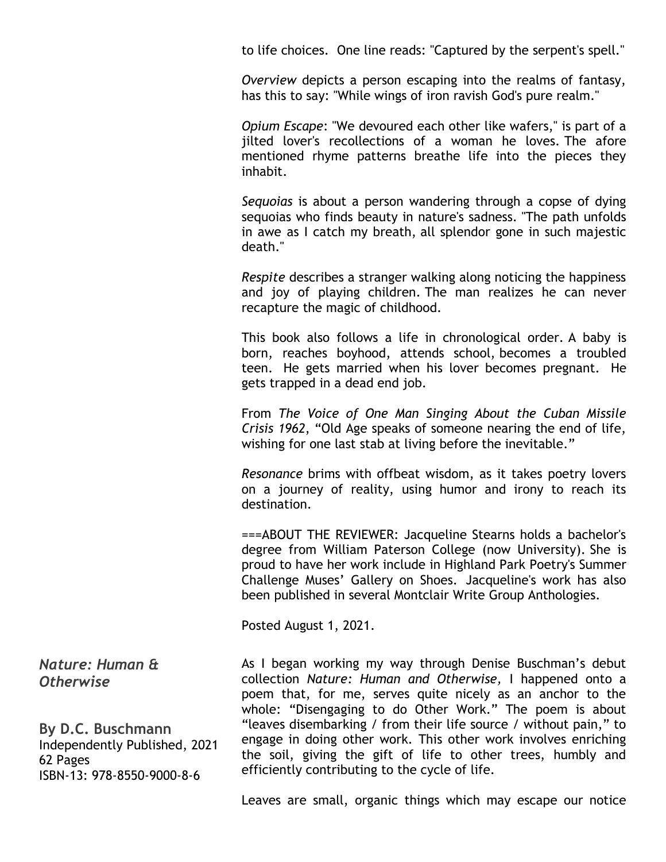to life choices. One line reads: "Captured by the serpent's spell."

*Overview* depicts a person escaping into the realms of fantasy, has this to say: "While wings of iron ravish God's pure realm."

*Opium Escape*: "We devoured each other like wafers," is part of a jilted lover's recollections of a woman he loves. The afore mentioned rhyme patterns breathe life into the pieces they inhabit.

*Sequoias* is about a person wandering through a copse of dying sequoias who finds beauty in nature's sadness. "The path unfolds in awe as I catch my breath, all splendor gone in such majestic death."

*Respite* describes a stranger walking along noticing the happiness and joy of playing children. The man realizes he can never recapture the magic of childhood.

This book also follows a life in chronological order. A baby is born, reaches boyhood, attends school, becomes a troubled teen. He gets married when his lover becomes pregnant. He gets trapped in a dead end job.

From *The Voice of One Man Singing About the Cuban Missile Crisis 1962*, "Old Age speaks of someone nearing the end of life, wishing for one last stab at living before the inevitable."

*Resonance* brims with offbeat wisdom, as it takes poetry lovers on a journey of reality, using humor and irony to reach its destination.

===ABOUT THE REVIEWER: Jacqueline Stearns holds a bachelor's degree from William Paterson College (now University). She is proud to have her work include in Highland Park Poetry's Summer Challenge Muses' Gallery on Shoes. Jacqueline's work has also been published in several Montclair Write Group Anthologies.

Posted August 1, 2021.

As I began working my way through Denise Buschman's debut collection *Nature: Human and Otherwise,* I happened onto a poem that, for me, serves quite nicely as an anchor to the whole: "Disengaging to do Other Work." The poem is about "leaves disembarking / from their life source / without pain," to engage in doing other work. This other work involves enriching the soil, giving the gift of life to other trees, humbly and efficiently contributing to the cycle of life.

*Nature: Human & Otherwise*

**By D.C. Buschmann** Independently Published, 2021 62 Pages ISBN-13: 978-8550-9000-8-6

Leaves are small, organic things which may escape our notice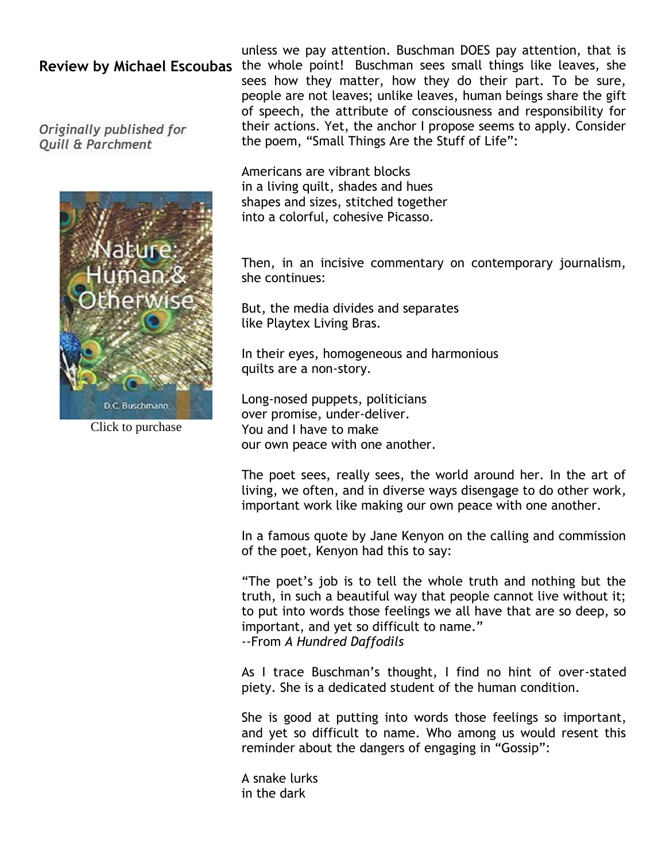*Originally published for Quill & Parchment*



Click to purchase

Review by Michael Escoubas the whole point! Buschman sees small things like leaves, she unless we pay attention. Buschman DOES pay attention, that is sees how they matter, how they do their part. To be sure, people are not leaves; unlike leaves, human beings share the gift of speech, the attribute of consciousness and responsibility for their actions. Yet, the anchor I propose seems to apply. Consider the poem, "Small Things Are the Stuff of Life":

> Americans are vibrant blocks in a living quilt, shades and hues shapes and sizes, stitched together into a colorful, cohesive Picasso.

Then, in an incisive commentary on contemporary journalism, she continues:

But, the media divides and separates like Playtex Living Bras.

In their eyes, homogeneous and harmonious quilts are a non-story.

Long-nosed puppets, politicians over promise, under-deliver. You and I have to make our own peace with one another.

The poet sees, really sees, the world around her. In the art of living, we often, and in diverse ways disengage to do other work*,*  important work like making our own peace with one another.

In a famous quote by Jane Kenyon on the calling and commission of the poet, Kenyon had this to say:

"The poet's job is to tell the whole truth and nothing but the truth, in such a beautiful way that people cannot live without it; to put into words those feelings we all have that are so deep, so important, and yet so difficult to name." --From *A Hundred Daffodils*

As I trace Buschman's thought, I find no hint of over-stated piety. She is a dedicated student of the human condition.

She is good at putting into words those feelings so important, and yet so difficult to name. Who among us would resent this reminder about the dangers of engaging in "Gossip":

A snake lurks in the dark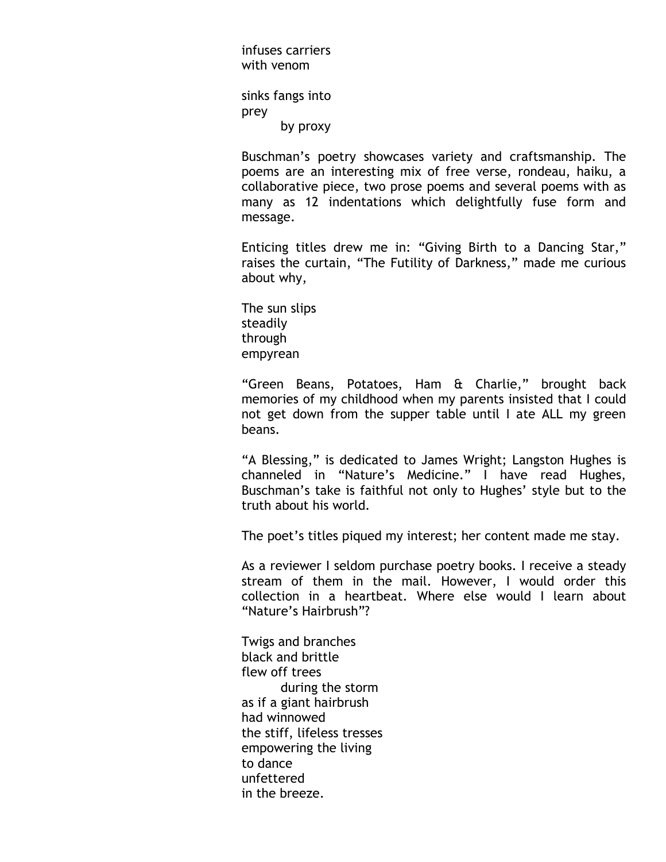infuses carriers with venom

sinks fangs into prey by proxy

Buschman's poetry showcases variety and craftsmanship. The poems are an interesting mix of free verse, rondeau, haiku, a collaborative piece, two prose poems and several poems with as many as 12 indentations which delightfully fuse form and message.

Enticing titles drew me in: "Giving Birth to a Dancing Star," raises the curtain, "The Futility of Darkness," made me curious about why,

The sun slips steadily through empyrean

"Green Beans, Potatoes, Ham & Charlie," brought back memories of my childhood when my parents insisted that I could not get down from the supper table until I ate ALL my green beans.

"A Blessing," is dedicated to James Wright; Langston Hughes is channeled in "Nature's Medicine." I have read Hughes, Buschman's take is faithful not only to Hughes' style but to the truth about his world*.*

The poet's titles piqued my interest; her content made me stay.

As a reviewer I seldom purchase poetry books. I receive a steady stream of them in the mail. However, I would order this collection in a heartbeat. Where else would I learn about "Nature's Hairbrush"?

Twigs and branches black and brittle flew off trees during the storm as if a giant hairbrush had winnowed the stiff, lifeless tresses empowering the living to dance unfettered in the breeze.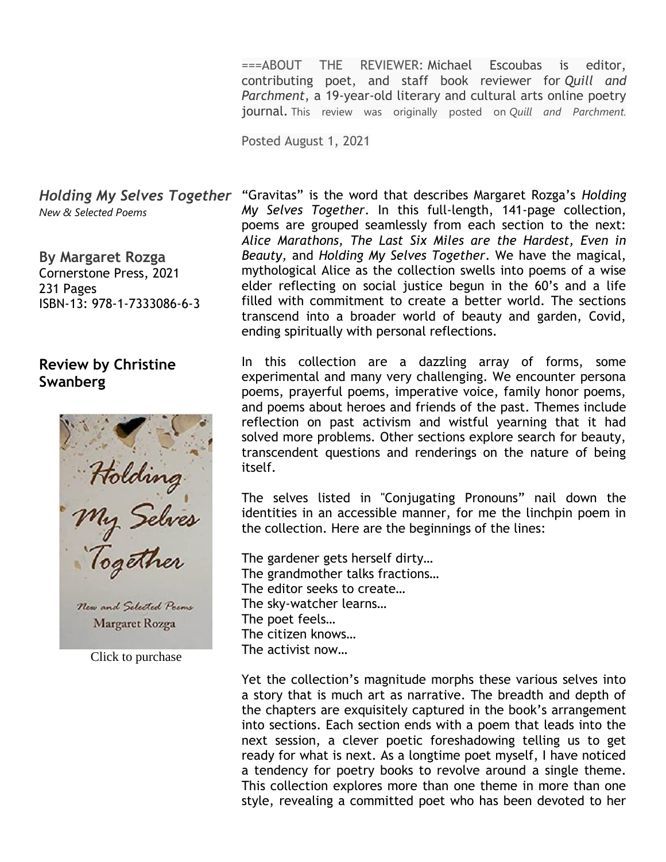===ABOUT THE REVIEWER: Michael Escoubas is editor, contributing poet, and staff book reviewer for *Quill and Parchment*, a 19-year-old literary and cultural arts online poetry journal. This review was originally posted on *Quill and Parchment.*

Posted August 1, 2021

*Holding My Selves Together New & Selected Poems* 

**By Margaret Rozga** Cornerstone Press, 2021 231 Pages ISBN-13: 978-1-7333086-6-3

# **Review by Christine Swanberg**

Holding<br>My Selves<br>Together New and Selected Poems

Margaret Rozga

Click to purchase

"Gravitas" is the word that describes Margaret Rozga's *Holding My Selves Together*. In this full-length, 141-page collection, poems are grouped seamlessly from each section to the next: *Alice Marathons, The Last Six Miles are the Hardest, Even in Beauty,* and *Holding My Selves Together*. We have the magical, mythological Alice as the collection swells into poems of a wise elder reflecting on social justice begun in the 60's and a life filled with commitment to create a better world. The sections transcend into a broader world of beauty and garden, Covid, ending spiritually with personal reflections.

In this collection are a dazzling array of forms, some experimental and many very challenging. We encounter persona poems, prayerful poems, imperative voice, family honor poems, and poems about heroes and friends of the past. Themes include reflection on past activism and wistful yearning that it had solved more problems. Other sections explore search for beauty, transcendent questions and renderings on the nature of being itself.

The selves listed in "Conjugating Pronouns" nail down the identities in an accessible manner, for me the linchpin poem in the collection. Here are the beginnings of the lines:

The gardener gets herself dirty… The grandmother talks fractions… The editor seeks to create… The sky-watcher learns… The poet feels… The citizen knows… The activist now…

Yet the collection's magnitude morphs these various selves into a story that is much art as narrative. The breadth and depth of the chapters are exquisitely captured in the book's arrangement into sections. Each section ends with a poem that leads into the next session, a clever poetic foreshadowing telling us to get ready for what is next. As a longtime poet myself, I have noticed a tendency for poetry books to revolve around a single theme. This collection explores more than one theme in more than one style, revealing a committed poet who has been devoted to her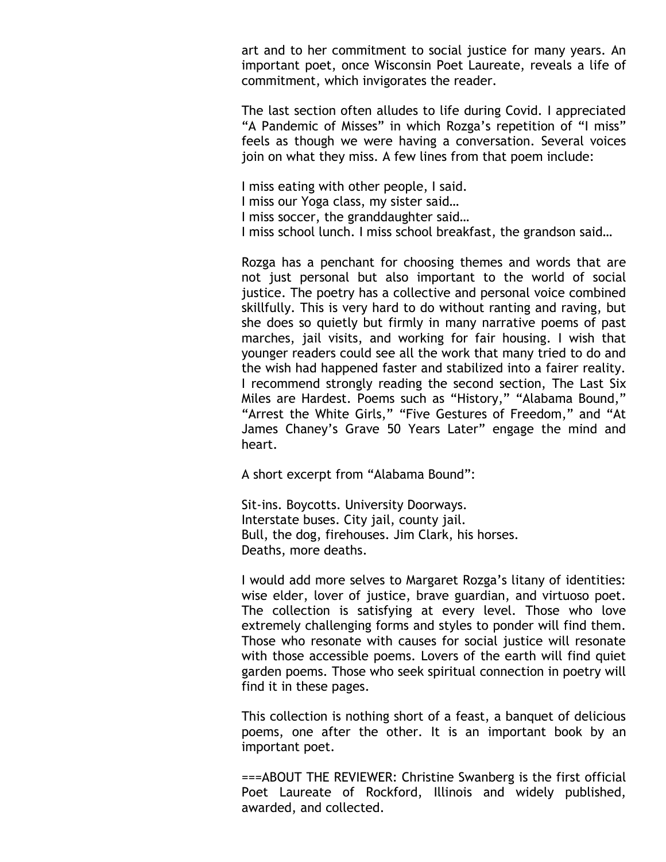art and to her commitment to social justice for many years. An important poet, once Wisconsin Poet Laureate, reveals a life of commitment, which invigorates the reader.

The last section often alludes to life during Covid. I appreciated "A Pandemic of Misses" in which Rozga's repetition of "I miss" feels as though we were having a conversation. Several voices join on what they miss. A few lines from that poem include:

I miss eating with other people, I said. I miss our Yoga class, my sister said… I miss soccer, the granddaughter said… I miss school lunch. I miss school breakfast, the grandson said…

Rozga has a penchant for choosing themes and words that are not just personal but also important to the world of social justice. The poetry has a collective and personal voice combined skillfully. This is very hard to do without ranting and raving, but she does so quietly but firmly in many narrative poems of past marches, jail visits, and working for fair housing. I wish that younger readers could see all the work that many tried to do and the wish had happened faster and stabilized into a fairer reality. I recommend strongly reading the second section, The Last Six Miles are Hardest. Poems such as "History," "Alabama Bound," "Arrest the White Girls," "Five Gestures of Freedom," and "At James Chaney's Grave 50 Years Later" engage the mind and heart.

A short excerpt from "Alabama Bound":

Sit-ins. Boycotts. University Doorways. Interstate buses. City jail, county jail. Bull, the dog, firehouses. Jim Clark, his horses. Deaths, more deaths.

I would add more selves to Margaret Rozga's litany of identities: wise elder, lover of justice, brave guardian, and virtuoso poet. The collection is satisfying at every level. Those who love extremely challenging forms and styles to ponder will find them. Those who resonate with causes for social justice will resonate with those accessible poems. Lovers of the earth will find quiet garden poems. Those who seek spiritual connection in poetry will find it in these pages.

This collection is nothing short of a feast, a banquet of delicious poems, one after the other. It is an important book by an important poet.

===ABOUT THE REVIEWER: Christine Swanberg is the first official Poet Laureate of Rockford, Illinois and widely published, awarded, and collected.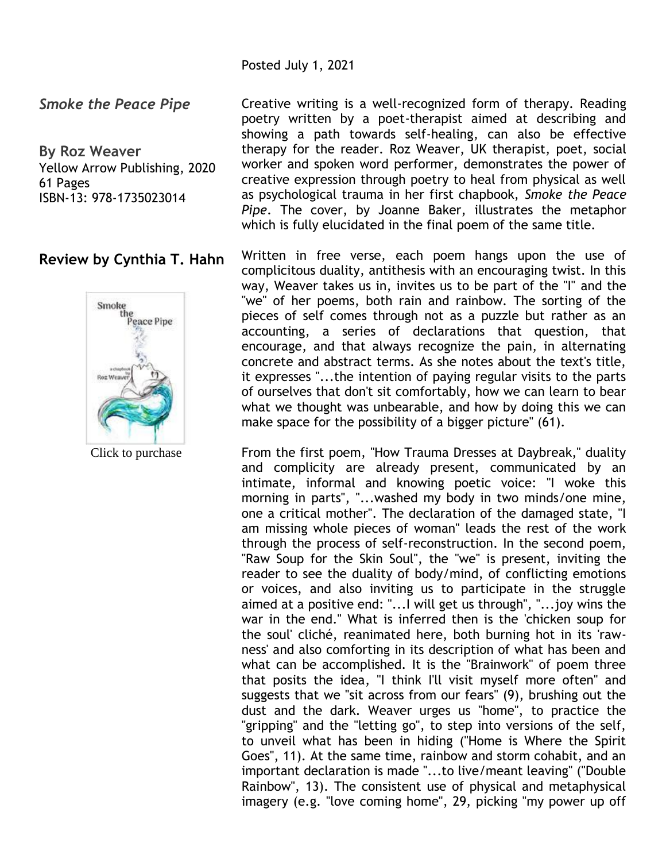Posted July 1, 2021

*Smoke the Peace Pipe*

**By Roz Weaver** Yellow Arrow Publishing, 2020 61 Pages ISBN-13: 978-1735023014

# **Review by Cynthia T. Hahn**



Click to purchase

Creative writing is a well-recognized form of therapy. Reading poetry written by a poet-therapist aimed at describing and showing a path towards self-healing, can also be effective therapy for the reader. Roz Weaver, UK therapist, poet, social worker and spoken word performer, demonstrates the power of creative expression through poetry to heal from physical as well as psychological trauma in her first chapbook, *Smoke the Peace Pipe*. The cover, by Joanne Baker, illustrates the metaphor which is fully elucidated in the final poem of the same title.

Written in free verse, each poem hangs upon the use of complicitous duality, antithesis with an encouraging twist. In this way, Weaver takes us in, invites us to be part of the "I" and the "we" of her poems, both rain and rainbow. The sorting of the pieces of self comes through not as a puzzle but rather as an accounting, a series of declarations that question, that encourage, and that always recognize the pain, in alternating concrete and abstract terms. As she notes about the text's title, it expresses "...the intention of paying regular visits to the parts of ourselves that don't sit comfortably, how we can learn to bear what we thought was unbearable, and how by doing this we can make space for the possibility of a bigger picture" (61).

From the first poem, "How Trauma Dresses at Daybreak," duality and complicity are already present, communicated by an intimate, informal and knowing poetic voice: "I woke this morning in parts", "...washed my body in two minds/one mine, one a critical mother". The declaration of the damaged state, "I am missing whole pieces of woman" leads the rest of the work through the process of self-reconstruction. In the second poem, "Raw Soup for the Skin Soul", the "we" is present, inviting the reader to see the duality of body/mind, of conflicting emotions or voices, and also inviting us to participate in the struggle aimed at a positive end: "...I will get us through", "...joy wins the war in the end." What is inferred then is the 'chicken soup for the soul' cliché, reanimated here, both burning hot in its 'rawness' and also comforting in its description of what has been and what can be accomplished. It is the "Brainwork" of poem three that posits the idea, "I think I'll visit myself more often" and suggests that we "sit across from our fears" (9), brushing out the dust and the dark. Weaver urges us "home", to practice the "gripping" and the "letting go", to step into versions of the self, to unveil what has been in hiding ("Home is Where the Spirit Goes", 11). At the same time, rainbow and storm cohabit, and an important declaration is made "...to live/meant leaving" ("Double Rainbow", 13). The consistent use of physical and metaphysical imagery (e.g. "love coming home", 29, picking "my power up off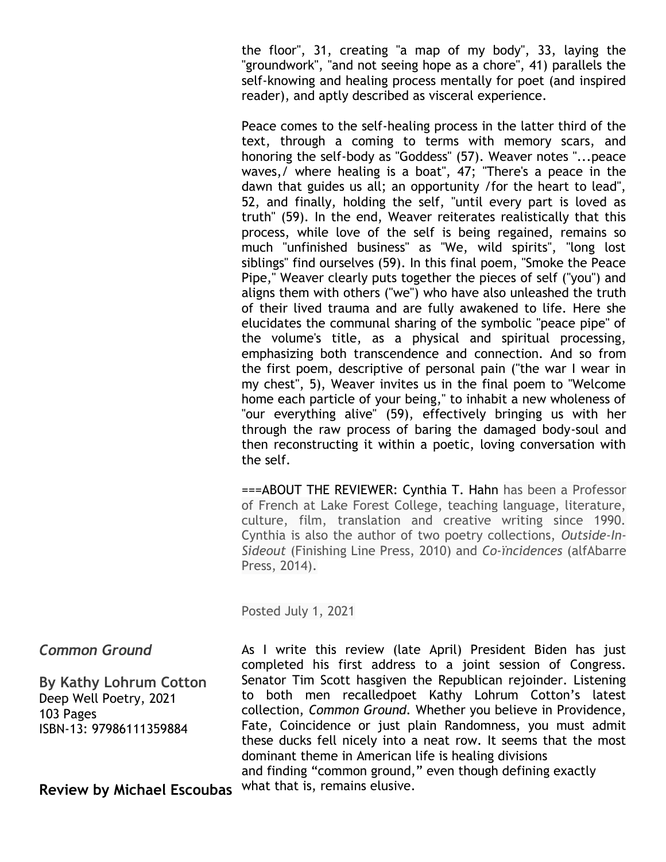the floor", 31, creating "a map of my body", 33, laying the "groundwork", "and not seeing hope as a chore", 41) parallels the self-knowing and healing process mentally for poet (and inspired reader), and aptly described as visceral experience.

Peace comes to the self-healing process in the latter third of the text, through a coming to terms with memory scars, and honoring the self-body as "Goddess" (57). Weaver notes "...peace waves,/ where healing is a boat", 47; "There's a peace in the dawn that guides us all; an opportunity /for the heart to lead", 52, and finally, holding the self, "until every part is loved as truth" (59). In the end, Weaver reiterates realistically that this process, while love of the self is being regained, remains so much "unfinished business" as "We, wild spirits", "long lost siblings" find ourselves (59). In this final poem, "Smoke the Peace Pipe," Weaver clearly puts together the pieces of self ("you") and aligns them with others ("we") who have also unleashed the truth of their lived trauma and are fully awakened to life. Here she elucidates the communal sharing of the symbolic "peace pipe" of the volume's title, as a physical and spiritual processing, emphasizing both transcendence and connection. And so from the first poem, descriptive of personal pain ("the war I wear in my chest", 5), Weaver invites us in the final poem to "Welcome home each particle of your being," to inhabit a new wholeness of "our everything alive" (59), effectively bringing us with her through the raw process of baring the damaged body-soul and then reconstructing it within a poetic, loving conversation with the self.

===ABOUT THE REVIEWER: Cynthia T. Hahn has been a Professor of French at Lake Forest College, teaching language, literature, culture, film, translation and creative writing since 1990. Cynthia is also the author of two poetry collections, *Outside-In-Sideout* (Finishing Line Press, 2010) and *Co-ïncidences* (alfAbarre Press, 2014).

Posted July 1, 2021

## *Common Ground*

**By Kathy Lohrum Cotton** Deep Well Poetry, 2021 103 Pages ISBN-13: 97986111359884

**Review by Michael Escoubas**

As I write this review (late April) President Biden has just completed his first address to a joint session of Congress. Senator Tim Scott hasgiven the Republican rejoinder. Listening to both men recalledpoet Kathy Lohrum Cotton's latest collection, *Common Ground.* Whether you believe in Providence, Fate, Coincidence or just plain Randomness, you must admit these ducks fell nicely into a neat row. It seems that the most dominant theme in American life is healing divisions and finding "common ground," even though defining exactly what that is, remains elusive.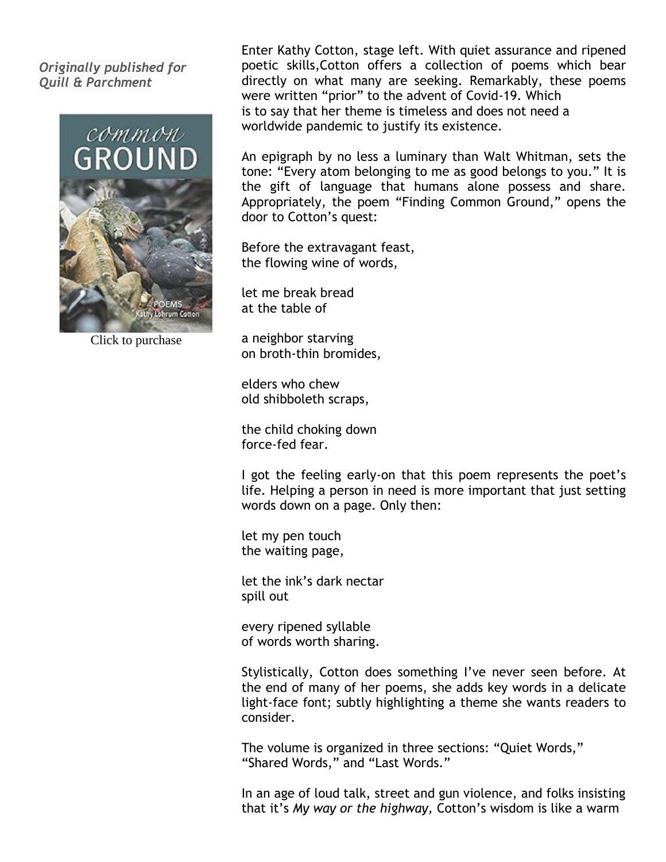## *Originally published for Quill & Parchment*



Click to purchase

Enter Kathy Cotton, stage left. With quiet assurance and ripened poetic skills,Cotton offers a collection of poems which bear directly on what many are seeking. Remarkably, these poems were written "prior" to the advent of Covid-19. Which is to say that her theme is timeless and does not need a worldwide pandemic to justify its existence.

An epigraph by no less a luminary than Walt Whitman, sets the tone: "Every atom belonging to me as good belongs to you." It is the gift of language that humans alone possess and share. Appropriately, the poem "Finding Common Ground," opens the door to Cotton's quest:

Before the extravagant feast, the flowing wine of words,

let me break bread at the table of

a neighbor starving on broth-thin bromides,

elders who chew old shibboleth scraps,

the child choking down force-fed fear.

I got the feeling early-on that this poem represents the poet's life. Helping a person in need is more important that just setting words down on a page. Only then:

let my pen touch the waiting page,

let the ink's dark nectar spill out

every ripened syllable of words worth sharing.

Stylistically, Cotton does something I've never seen before. At the end of many of her poems, she adds key words in a delicate light-face font; subtly highlighting a theme she wants readers to consider.

The volume is organized in three sections: "Quiet Words," "Shared Words," and "Last Words."

In an age of loud talk, street and gun violence, and folks insisting that it's *My way or the highway,* Cotton's wisdom is like a warm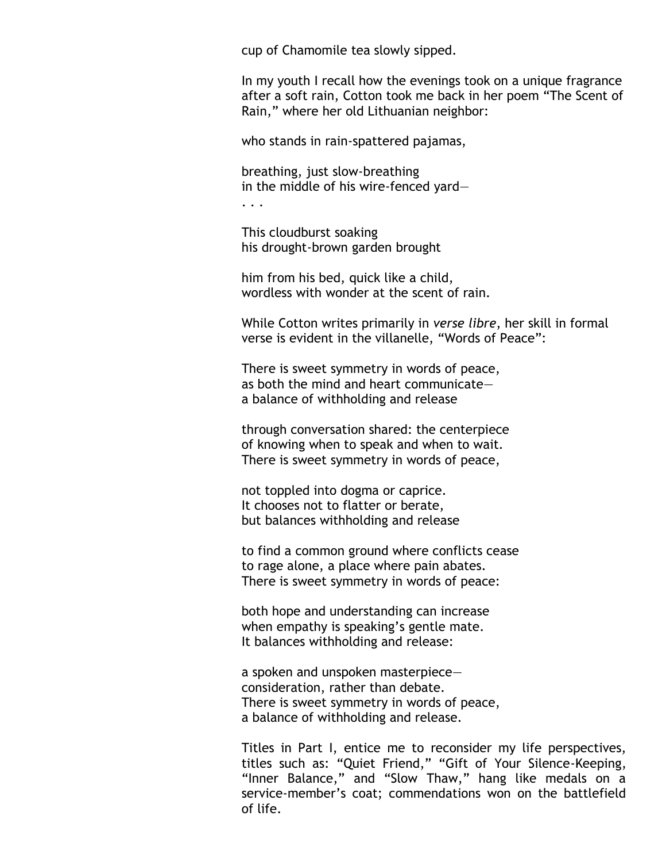cup of Chamomile tea slowly sipped.

In my youth I recall how the evenings took on a unique fragrance after a soft rain, Cotton took me back in her poem "The Scent of Rain," where her old Lithuanian neighbor:

who stands in rain-spattered pajamas,

breathing, just slow-breathing in the middle of his wire-fenced yard—

. . .

This cloudburst soaking his drought-brown garden brought

him from his bed, quick like a child, wordless with wonder at the scent of rain.

While Cotton writes primarily in *verse libre*, her skill in formal verse is evident in the villanelle, "Words of Peace":

There is sweet symmetry in words of peace, as both the mind and heart communicate a balance of withholding and release

through conversation shared: the centerpiece of knowing when to speak and when to wait. There is sweet symmetry in words of peace,

not toppled into dogma or caprice. It chooses not to flatter or berate, but balances withholding and release

to find a common ground where conflicts cease to rage alone, a place where pain abates. There is sweet symmetry in words of peace:

both hope and understanding can increase when empathy is speaking's gentle mate. It balances withholding and release:

a spoken and unspoken masterpiece consideration, rather than debate. There is sweet symmetry in words of peace, a balance of withholding and release.

Titles in Part I, entice me to reconsider my life perspectives, titles such as: "Quiet Friend," "Gift of Your Silence-Keeping, "Inner Balance," and "Slow Thaw," hang like medals on a service-member's coat; commendations won on the battlefield of life.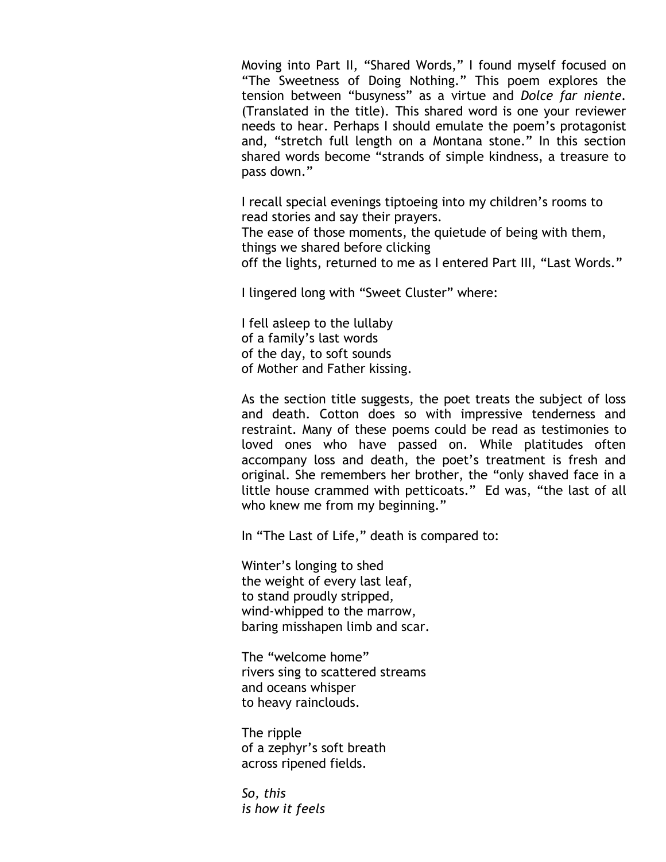Moving into Part II, "Shared Words," I found myself focused on "The Sweetness of Doing Nothing." This poem explores the tension between "busyness" as a virtue and *Dolce far niente.*  (Translated in the title). This shared word is one your reviewer needs to hear. Perhaps I should emulate the poem's protagonist and, "stretch full length on a Montana stone." In this section shared words become "strands of simple kindness, a treasure to pass down."

I recall special evenings tiptoeing into my children's rooms to read stories and say their prayers. The ease of those moments, the quietude of being with them, things we shared before clicking off the lights, returned to me as I entered Part III, "Last Words."

I lingered long with "Sweet Cluster" where:

I fell asleep to the lullaby of a family's last words of the day, to soft sounds of Mother and Father kissing.

As the section title suggests, the poet treats the subject of loss and death. Cotton does so with impressive tenderness and restraint. Many of these poems could be read as testimonies to loved ones who have passed on. While platitudes often accompany loss and death, the poet's treatment is fresh and original. She remembers her brother, the "only shaved face in a little house crammed with petticoats." Ed was, "the last of all who knew me from my beginning."

In "The Last of Life," death is compared to:

Winter's longing to shed the weight of every last leaf, to stand proudly stripped, wind-whipped to the marrow, baring misshapen limb and scar.

The "welcome home" rivers sing to scattered streams and oceans whisper to heavy rainclouds.

The ripple of a zephyr's soft breath across ripened fields.

*So, this is how it feels*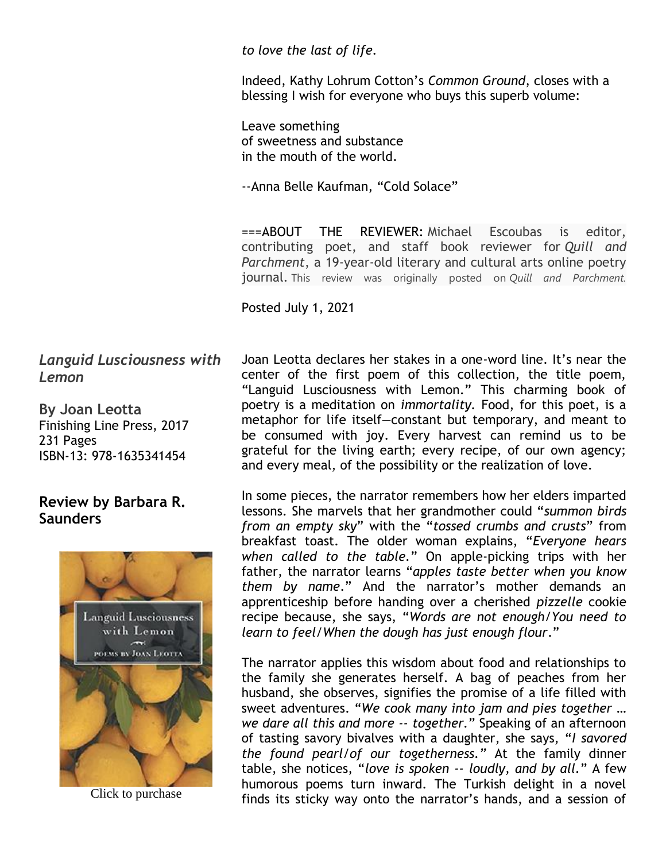*to love the last of life.*

Indeed, Kathy Lohrum Cotton's *Common Ground*, closes with a blessing I wish for everyone who buys this superb volume:

Leave something of sweetness and substance in the mouth of the world.

--Anna Belle Kaufman, "Cold Solace"

===ABOUT THE REVIEWER: Michael Escoubas is editor, contributing poet, and staff book reviewer for *Quill and Parchment*, a 19-year-old literary and cultural arts online poetry journal. This review was originally posted on *Quill and Parchment.*

Posted July 1, 2021

*Languid Lusciousness with Lemon*

**By Joan Leotta** Finishing Line Press, 2017 231 Pages ISBN-13: 978-1635341454

# **Review by Barbara R. Saunders**



Joan Leotta declares her stakes in a one-word line. It's near the center of the first poem of this collection, the title poem, "Languid Lusciousness with Lemon." This charming book of poetry is a meditation on *immortality.* Food, for this poet, is a metaphor for life itself—constant but temporary, and meant to be consumed with joy. Every harvest can remind us to be grateful for the living earth; every recipe, of our own agency; and every meal, of the possibility or the realization of love.

In some pieces, the narrator remembers how her elders imparted lessons. She marvels that her grandmother could "*summon birds from an empty sky*" with the "*tossed crumbs and crusts*" from breakfast toast. The older woman explains, "*Everyone hears when called to the table.*" On apple-picking trips with her father, the narrator learns "*apples taste better when you know them by name*." And the narrator's mother demands an apprenticeship before handing over a cherished *pizzelle* cookie recipe because, she says, "*Words are not enough/You need to learn to feel/When the dough has just enough flour*."

The narrator applies this wisdom about food and relationships to the family she generates herself. A bag of peaches from her husband, she observes, signifies the promise of a life filled with sweet adventures. "*We cook many into jam and pies together … we dare all this and more -- together.*" Speaking of an afternoon of tasting savory bivalves with a daughter, she says, "*I savored the found pearl/of our togetherness."* At the family dinner table, she notices, "*love is spoken -- loudly, and by all.*" A few humorous poems turn inward. The Turkish delight in a novel Finds its sticky way onto the narrator's hands, and a session of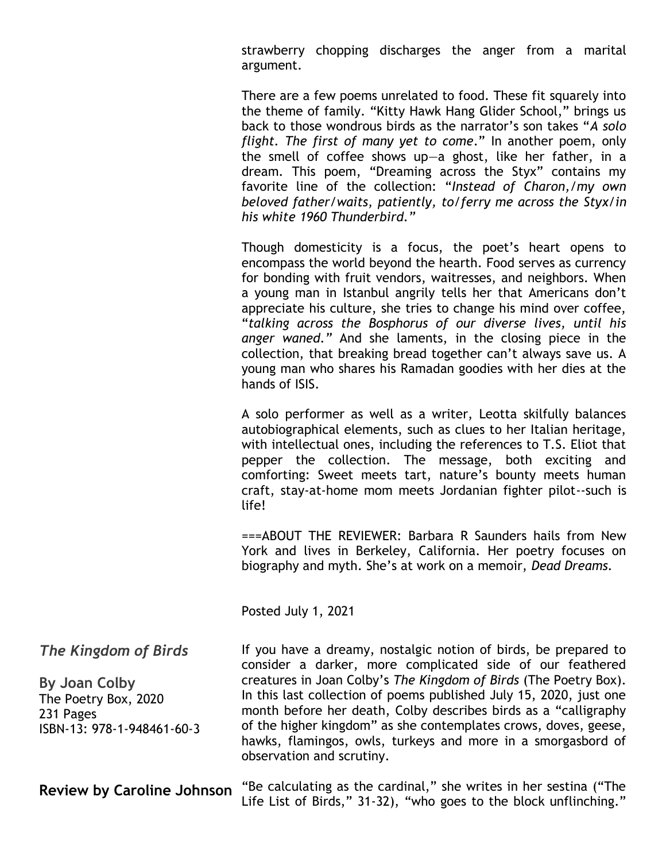strawberry chopping discharges the anger from a marital argument.

There are a few poems unrelated to food. These fit squarely into the theme of family. "Kitty Hawk Hang Glider School," brings us back to those wondrous birds as the narrator's son takes "*A solo flight. The first of many yet to come*." In another poem, only the smell of coffee shows up—a ghost, like her father, in a dream. This poem, "Dreaming across the Styx" contains my favorite line of the collection: "*Instead of Charon,/my own beloved father/waits, patiently, to/ferry me across the Styx/in his white 1960 Thunderbird."*

Though domesticity is a focus, the poet's heart opens to encompass the world beyond the hearth. Food serves as currency for bonding with fruit vendors, waitresses, and neighbors. When a young man in Istanbul angrily tells her that Americans don't appreciate his culture, she tries to change his mind over coffee, "*talking across the Bosphorus of our diverse lives, until his anger waned."* And she laments, in the closing piece in the collection, that breaking bread together can't always save us. A young man who shares his Ramadan goodies with her dies at the hands of ISIS.

A solo performer as well as a writer, Leotta skilfully balances autobiographical elements, such as clues to her Italian heritage, with intellectual ones, including the references to T.S. Eliot that pepper the collection. The message, both exciting and comforting: Sweet meets tart, nature's bounty meets human craft, stay-at-home mom meets Jordanian fighter pilot--such is life!

===ABOUT THE REVIEWER: Barbara R Saunders hails from New York and lives in Berkeley, California. Her poetry focuses on biography and myth. She's at work on a memoir, *Dead Dreams.*

Posted July 1, 2021

*The Kingdom of Birds*

**By Joan Colby** The Poetry Box, 2020 231 Pages ISBN-13: 978-1-948461-60-3 If you have a dreamy, nostalgic notion of birds, be prepared to consider a darker, more complicated side of our feathered creatures in Joan Colby's *The Kingdom of Birds* (The Poetry Box). In this last collection of poems published July 15, 2020, just one month before her death, Colby describes birds as a "calligraphy of the higher kingdom" as she contemplates crows, doves, geese, hawks, flamingos, owls, turkeys and more in a smorgasbord of observation and scrutiny.

**Review by Caroline Johnson** "Be calculating as the cardinal," she writes in her sestina ("The Life List of Birds," 31-32), "who goes to the block unflinching."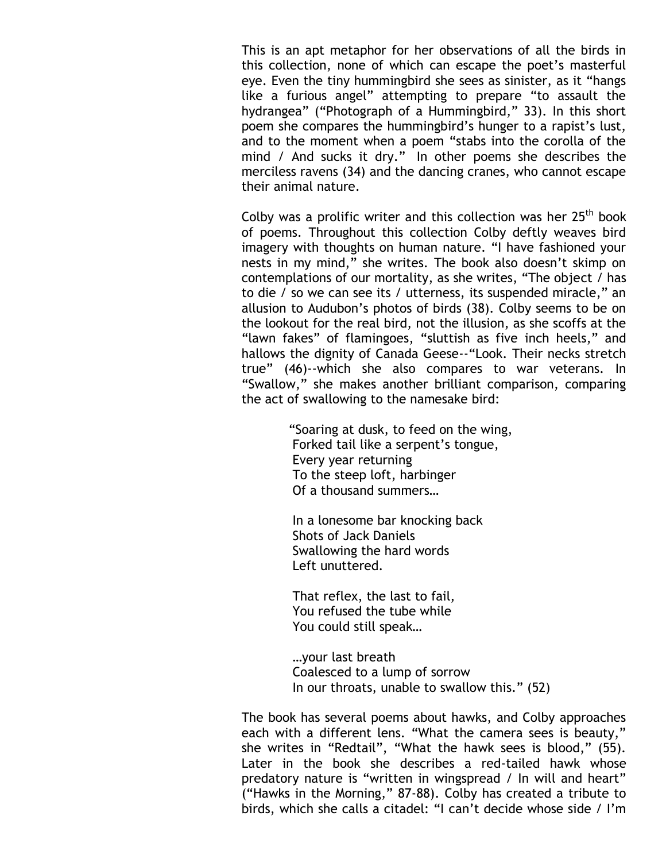This is an apt metaphor for her observations of all the birds in this collection, none of which can escape the poet's masterful eye. Even the tiny hummingbird she sees as sinister, as it "hangs like a furious angel" attempting to prepare "to assault the hydrangea" ("Photograph of a Hummingbird," 33). In this short poem she compares the hummingbird's hunger to a rapist's lust, and to the moment when a poem "stabs into the corolla of the mind / And sucks it dry." In other poems she describes the merciless ravens (34) and the dancing cranes, who cannot escape their animal nature.

Colby was a prolific writer and this collection was her  $25<sup>th</sup>$  book of poems. Throughout this collection Colby deftly weaves bird imagery with thoughts on human nature. "I have fashioned your nests in my mind," she writes. The book also doesn't skimp on contemplations of our mortality, as she writes, "The object / has to die / so we can see its / utterness, its suspended miracle," an allusion to Audubon's photos of birds (38). Colby seems to be on the lookout for the real bird, not the illusion, as she scoffs at the "lawn fakes" of flamingoes, "sluttish as five inch heels," and hallows the dignity of Canada Geese--"Look. Their necks stretch true" (46)--which she also compares to war veterans. In "Swallow," she makes another brilliant comparison, comparing the act of swallowing to the namesake bird:

> "Soaring at dusk, to feed on the wing, Forked tail like a serpent's tongue, Every year returning To the steep loft, harbinger Of a thousand summers…

 In a lonesome bar knocking back Shots of Jack Daniels Swallowing the hard words Left unuttered.

 That reflex, the last to fail, You refused the tube while You could still speak…

 …your last breath Coalesced to a lump of sorrow In our throats, unable to swallow this." (52)

The book has several poems about hawks, and Colby approaches each with a different lens. "What the camera sees is beauty," she writes in "Redtail", "What the hawk sees is blood," (55). Later in the book she describes a red-tailed hawk whose predatory nature is "written in wingspread / In will and heart" ("Hawks in the Morning," 87-88). Colby has created a tribute to birds, which she calls a citadel: "I can't decide whose side / I'm